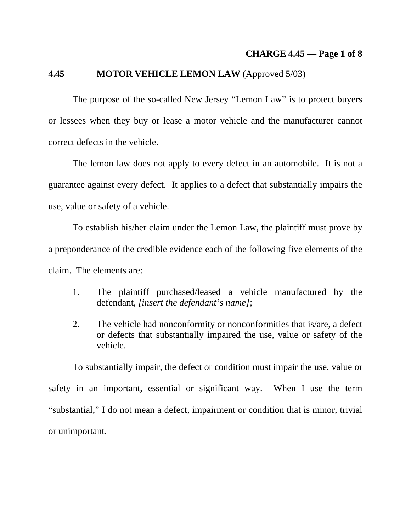#### **4.45 MOTOR VEHICLE LEMON LAW** (Approved 5/03)

 The purpose of the so-called New Jersey "Lemon Law" is to protect buyers or lessees when they buy or lease a motor vehicle and the manufacturer cannot correct defects in the vehicle.

 The lemon law does not apply to every defect in an automobile. It is not a guarantee against every defect. It applies to a defect that substantially impairs the use, value or safety of a vehicle.

 To establish his/her claim under the Lemon Law, the plaintiff must prove by a preponderance of the credible evidence each of the following five elements of the claim. The elements are:

- 1. The plaintiff purchased/leased a vehicle manufactured by the defendant, *[insert the defendant's name]*;
- 2. The vehicle had nonconformity or nonconformities that is/are, a defect or defects that substantially impaired the use, value or safety of the vehicle.

 To substantially impair, the defect or condition must impair the use, value or safety in an important, essential or significant way. When I use the term "substantial," I do not mean a defect, impairment or condition that is minor, trivial or unimportant.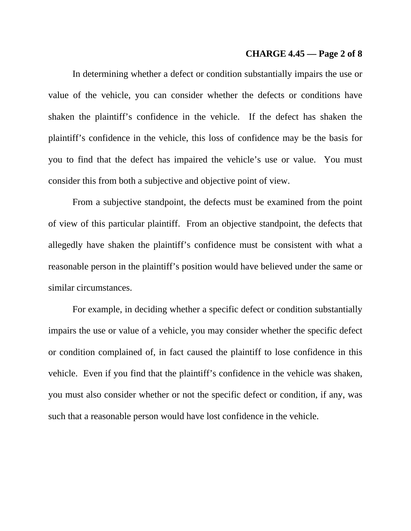#### **CHARGE 4.45 — Page 2 of 8**

 In determining whether a defect or condition substantially impairs the use or value of the vehicle, you can consider whether the defects or conditions have shaken the plaintiff's confidence in the vehicle. If the defect has shaken the plaintiff's confidence in the vehicle, this loss of confidence may be the basis for you to find that the defect has impaired the vehicle's use or value. You must consider this from both a subjective and objective point of view.

 From a subjective standpoint, the defects must be examined from the point of view of this particular plaintiff. From an objective standpoint, the defects that allegedly have shaken the plaintiff's confidence must be consistent with what a reasonable person in the plaintiff's position would have believed under the same or similar circumstances.

 For example, in deciding whether a specific defect or condition substantially impairs the use or value of a vehicle, you may consider whether the specific defect or condition complained of, in fact caused the plaintiff to lose confidence in this vehicle. Even if you find that the plaintiff's confidence in the vehicle was shaken, you must also consider whether or not the specific defect or condition, if any, was such that a reasonable person would have lost confidence in the vehicle.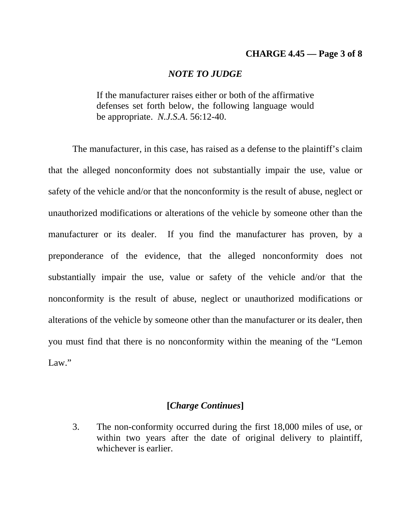### **CHARGE 4.45 — Page 3 of 8**

#### *NOTE TO JUDGE*

If the manufacturer raises either or both of the affirmative defenses set forth below, the following language would be appropriate. *N.J.S.A*. 56:12-40.

 The manufacturer, in this case, has raised as a defense to the plaintiff's claim that the alleged nonconformity does not substantially impair the use, value or safety of the vehicle and/or that the nonconformity is the result of abuse, neglect or unauthorized modifications or alterations of the vehicle by someone other than the manufacturer or its dealer. If you find the manufacturer has proven, by a preponderance of the evidence, that the alleged nonconformity does not substantially impair the use, value or safety of the vehicle and/or that the nonconformity is the result of abuse, neglect or unauthorized modifications or alterations of the vehicle by someone other than the manufacturer or its dealer, then you must find that there is no nonconformity within the meaning of the "Lemon Law."

## **[***Charge Continues***]**

3. The non-conformity occurred during the first 18,000 miles of use, or within two years after the date of original delivery to plaintiff, whichever is earlier.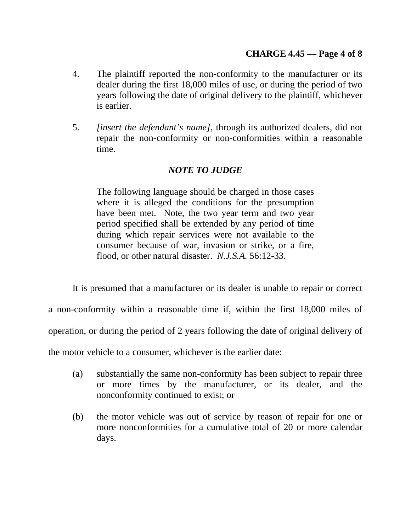- 4. The plaintiff reported the non-conformity to the manufacturer or its dealer during the first 18,000 miles of use, or during the period of two years following the date of original delivery to the plaintiff, whichever is earlier.
- 5. *[insert the defendant's name]*, through its authorized dealers, did not repair the non-conformity or non-conformities within a reasonable time.

# *NOTE TO JUDGE*

The following language should be charged in those cases where it is alleged the conditions for the presumption have been met. Note, the two year term and two year period specified shall be extended by any period of time during which repair services were not available to the consumer because of war, invasion or strike, or a fire, flood, or other natural disaster. *N.J.S.A.* 56:12-33.

It is presumed that a manufacturer or its dealer is unable to repair or correct

a non-conformity within a reasonable time if, within the first 18,000 miles of

operation, or during the period of 2 years following the date of original delivery of

the motor vehicle to a consumer, whichever is the earlier date:

- (a) substantially the same non-conformity has been subject to repair three or more times by the manufacturer, or its dealer, and the nonconformity continued to exist; or
- (b) the motor vehicle was out of service by reason of repair for one or more nonconformities for a cumulative total of 20 or more calendar days.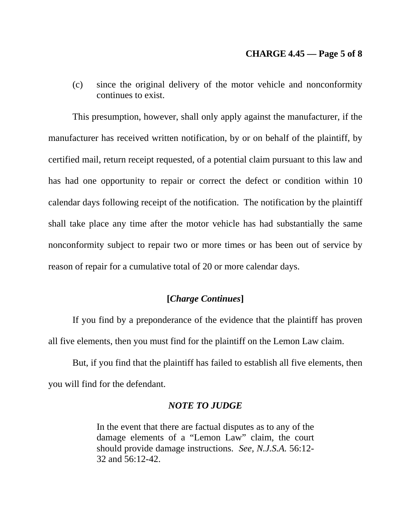### **CHARGE 4.45 — Page 5 of 8**

(c) since the original delivery of the motor vehicle and nonconformity continues to exist.

 This presumption, however, shall only apply against the manufacturer, if the manufacturer has received written notification, by or on behalf of the plaintiff, by certified mail, return receipt requested, of a potential claim pursuant to this law and has had one opportunity to repair or correct the defect or condition within 10 calendar days following receipt of the notification. The notification by the plaintiff shall take place any time after the motor vehicle has had substantially the same nonconformity subject to repair two or more times or has been out of service by reason of repair for a cumulative total of 20 or more calendar days.

## **[***Charge Continues***]**

 If you find by a preponderance of the evidence that the plaintiff has proven all five elements, then you must find for the plaintiff on the Lemon Law claim.

 But, if you find that the plaintiff has failed to establish all five elements, then you will find for the defendant.

## *NOTE TO JUDGE*

In the event that there are factual disputes as to any of the damage elements of a "Lemon Law" claim, the court should provide damage instructions. *See, N.J.S.A.* 56:12- 32 and 56:12-42.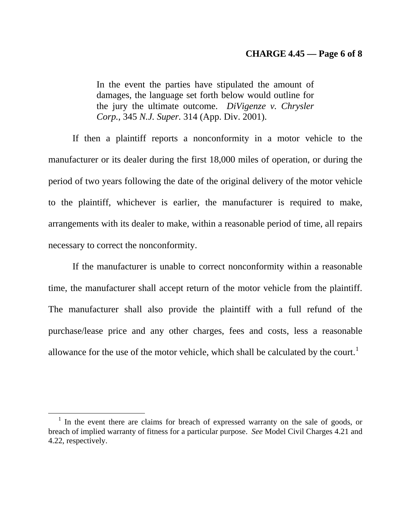#### **CHARGE 4.45 — Page 6 of 8**

In the event the parties have stipulated the amount of damages, the language set forth below would outline for the jury the ultimate outcome. *DiVigenze v. Chrysler Corp.*, 345 *N.J. Super.* 314 (App. Div. 2001).

 If then a plaintiff reports a nonconformity in a motor vehicle to the manufacturer or its dealer during the first 18,000 miles of operation, or during the period of two years following the date of the original delivery of the motor vehicle to the plaintiff, whichever is earlier, the manufacturer is required to make, arrangements with its dealer to make, within a reasonable period of time, all repairs necessary to correct the nonconformity.

 If the manufacturer is unable to correct nonconformity within a reasonable time, the manufacturer shall accept return of the motor vehicle from the plaintiff. The manufacturer shall also provide the plaintiff with a full refund of the purchase/lease price and any other charges, fees and costs, less a reasonable allowance for the use of the motor vehicle, which shall be calculated by the court.<sup>[1](#page-5-0)</sup>

 $\overline{a}$ 

<span id="page-5-0"></span><sup>&</sup>lt;sup>1</sup> In the event there are claims for breach of expressed warranty on the sale of goods, or breach of implied warranty of fitness for a particular purpose. *See* Model Civil Charges 4.21 and 4.22, respectively.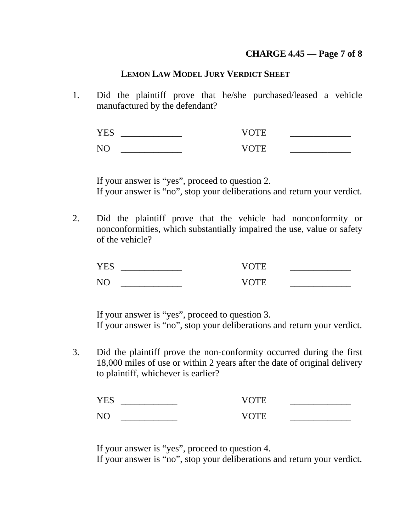# **CHARGE 4.45 — Page 7 of 8**

## **LEMON LAW MODEL JURY VERDICT SHEET**

1. Did the plaintiff prove that he/she purchased/leased a vehicle manufactured by the defendant?

 YES \_\_\_\_\_\_\_\_\_\_\_\_\_ VOTE \_\_\_\_\_\_\_\_\_\_\_\_\_ NO \_\_\_\_\_\_\_\_\_\_\_\_\_ VOTE \_\_\_\_\_\_\_\_\_\_\_\_\_

 If your answer is "yes", proceed to question 2. If your answer is "no", stop your deliberations and return your verdict.

2. Did the plaintiff prove that the vehicle had nonconformity or nonconformities, which substantially impaired the use, value or safety of the vehicle?

| v н                                    |              |  |
|----------------------------------------|--------------|--|
| <u>в і</u><br>$\overline{\phantom{a}}$ | ''' ⊨<br>\/f |  |

 If your answer is "yes", proceed to question 3. If your answer is "no", stop your deliberations and return your verdict.

3. Did the plaintiff prove the non-conformity occurred during the first 18,000 miles of use or within 2 years after the date of original delivery to plaintiff, whichever is earlier?

| --                                  | 71          | __  |
|-------------------------------------|-------------|-----|
| ∼<br>$\overline{\phantom{a}}$<br>__ | $^{\prime}$ | ___ |

If your answer is "yes", proceed to question 4.

If your answer is "no", stop your deliberations and return your verdict.